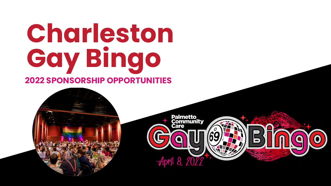# **Charleston Gay Bingo 2022 SPONSORSHIP OPPORTUNITIES**

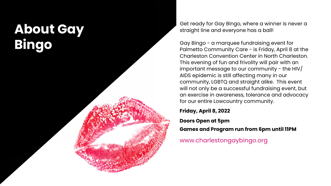# **About Gay Bingo**

Get ready for Gay Bingo, where a winner is never a straight line and everyone has a ball!

Gay Bingo - a marquee fundraising event for Palmetto Community Care - is Friday, April 8 at the Charleston Convention Center in North Charleston. This evening of fun and frivolity will pair with an important message to our community - the HIV $/$ AIDS epidemic is still affecting many in our community, LGBTQ and straight alike. This event will not only be a successful fundraising event, but an exercise in awareness, tolerance and advocacy for our entire Lowcountry community.

**Friday, April 8, 2022**

### **Doors Open at 5pm**

**Games and Program run from 6pm until 11PM** 

www.charlestongaybingo.org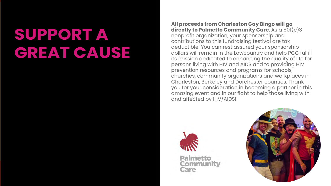# **SUPPORT A GREAT CAUSE**

**All proceeds from Charleston Gay Bingo will go directly to Palmetto Community Care.** As a 501(c)3 nonprofit organization, your sponsorship and contributions to this fundraising festival are tax deductible. You can rest assured your sponsorship dollars will remain in the Lowcountry and help PCC fulfill its mission dedicated to enhancing the quality of life for persons living with HIV and AIDS and to providing HIV prevention resources and programs for schools, churches, community organizations and workplaces in Charleston, Berkeley and Dorchester counties. Thank you for your consideration in becoming a partner in this amazing event and in our fight to help those living with and affected by HIV/AIDS!



**Palmetto Community** Care

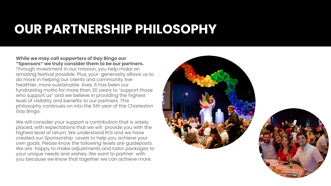# **OUR PARTNERSHIP PHILOSOPHY**

**While we may call supporters of Gay Bingo our "Sponsors" we truly consider them to be our partners.**  Through investment in our mission, you help make an amazing festival possible. Plus, your generosity allows us to do more in helping our clients and community live healthier, more sustainable lives. It has been our fundraising motto for more than 30 years to "support those who support us" and we believe in providing the highest level of visibility and benefits to our partners. This philosophy continues on into the 5th year of the Charleston Gay Bingo.

We will consider your support a contribution that is wisely placed, with expectations that we will provide you with the highest level of return. We understand ROI and we have created our Sponsorship Levels to help you achieve your own goals. Please know the following levels are guideposts. We are happy to make adjustments and tailor packages to your unique needs and wishes. We want to partner with you because we know that together we can achieve more.



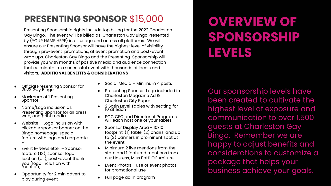# **PRESENTING SPONSOR** \$15,000

Presenting Sponsorship rights include top billing for the 2022 Charleston Gay Bingo. The event will be billed as: Charleston Gay Bingo Presented by (YOUR NAME HERE) in all usage and across all platforms. We will ensure our Presenting Sponsor will have the highest level of visibility through pre-event promotions, at event promotion and post-event wrap ups. Charleston Gay Bingo and the Presenting Sponsorship will provide you with months of positive media and audience connection that culminate in a successful event with thousands of locals and visitors. **ADDITIONAL BENEFITS & CONSIDERATIONS**

- Official Presenting Sponsor for 2022 Gay Bingo
- Maximum of 1 Presenting Sponsor
- Name/Logo inclusion as Presenting Sponsor for all press, web, and print media
- Website  $-$  Logo inclusion with clickable sponsor banner on the Bingo homepage, special feature with logo and corporate bit
- Event E-Newsletter Sponsor feature (1X), sponsor logo section (all), post-event thank you (logo inclusion with mention)
- Opportunity for 2 min advert to play during event
- Social Media Minimum 4 posts
- Presenting Sponsor Logo included in Charleston Magazine Ad & Charleston City Paper
- 2 Satin Level Tables with seating for 10 at each
- PCC CEO and Director of Programs will each host one of your tables
- Sponsor Display Area 10x10 footprint, (1) table, (2) chairs, and up to (2) banners in prominent spot at the event
- Minimum 2 live mentions from the state and 1 featured mentions from our Hostess, Miss Patti O'Furniture
- Event Photos use of event photos for promotional use
- Full page ad in program

# **OVERVIEW OF SPONSORSHIP LEVELS**

Our sponsorship levels have been created to cultivate the highest level of exposure and communication to over 1,500 guests at Charleston Gay Bingo. Remember we are happy to adjust benefits and considerations to customize a package that helps your business achieve your goals.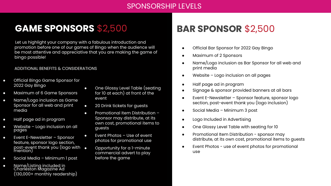# **About Gay Bingo**

Get ready for Gay Bingo, where a winner is never a straight line and everyone has a ball!

Gay Bingo - a marquee fundraising event for Palmetto Community Care - is Friday, April 8 at the Charleston Convention Center in North Charleston. This evening of fun and frivolity will pair with an important message to our community - the HIV/ AIDS epidemic is still affecting many in our mmunity, LGBTQ and straight alike. This event I not only be a successful fundraising event, but exercise in awareness, tolerance and advocacy our entire Lowcountry community.

day, April 8, 2022

ors **Open at** 5pm

mes and Program run from 6pm **until** 11**PM** 

ww.charlestongaybingo.org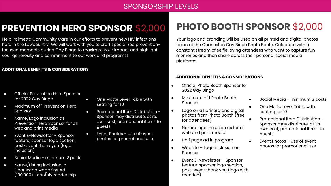## SPONSORSHIP LEVELS

## **PREVENTION HERO SPONSOR** \$2,000

Help Palmetto Community Care in our efforts to prevent new HIV infections here in the Lowcountry! We will work with you to craft specialized preventionfocused moments during Gay Bingo to maximize your impact and highlight your generosity and commitment to our work and programs!

#### **ADDITIONAL BENEFITS & CONSIDERATIONS**

- Official Prevention Hero Sponsor for 2022 Gay Bingo
- Maximum of 1 Prevention Hero Sponsor
- Name/Logo inclusion as Prevention Hero Sponsor for all web and print media
- Event E-Newsletter Sponsor feature, sponsor logo section, post-event thank you (logo inclusion)
- Social Media minimum 2 posts
- Name/Listing inclusion in Charleston Magazine Ad (130,000+ monthly readership
- One Matte Level Table with seating for 10
- Promotional Item Distribution Sponsor may distribute, at its own cost, promotional items to guests
- Event Photos Use of event photos for promotional use

# **PHOTO BOOTH SPONSOR** \$2,000

Your logo and branding will be used on all printed and digital photos taken at the Charleston Gay Bingo Photo Booth. Celebrate with a constant stream of selfie loving attendees who want to capture fun memories and then share across their personal social media platforms.

#### **ADDITIONAL BENEFITS & CONSIDERATIONS**

- Official Photo Booth Sponsor for 2022 Gay Bingo
- Maximum of 1 Photo Booth Sponsor
- Logo on all printed and digital photos from Photo Booth (free for attendees)
- Name/Logo inclusion as for all web and print media
- Half page ad in program
- Website Logo inclusion on Sponsor
- Event E-Newsletter Sponsor feature, sponsor logo section, post-event thank you (logo with mention)
- Social Media minimum 2 posts
- One Matte Level Table with seating for 10
- Promotional Item Distribution -Sponsor may distribute, at its own cost, promotional items to guests
- Event Photos Use of event photos for promotional use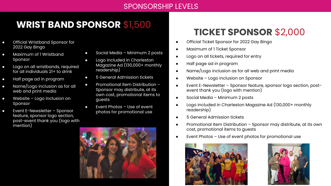## SPONSORSHIP LEVELS

## **WRIST BAND SPONSOR** \$1,500

- Official Wristband Sponsor for 2022 Gay Bingo
- Maximum of Sponsor
- Logo on all for all indivi
- Half page a
- Name/Logo web and pi
- $\bullet$  Website Logo inclusion  $\bullet$ Sponsor
- $\bullet$  Event E-Neys feature, spo post-event mention)



# **TICKET SPONSOR** \$2,000

- Official Ticket Sponsor for 2022 Gay Bingo
- Maximum of 1 Ticket Sponsor
- Logo on all tickets, required for entry
- Half page ad in program
- Name/Logo inclusion as for all web and print media
- Website Logo inclusion on Sponsor
- Event E-Newsletter Sponsor feature, sponsor logo section, postevent thank you (logo with mention)
- Social Media Minimum 2 posts
- Logo included in Charleston Magazine Ad (130,000+ monthly readership)
- 5 General Admission tickets
- Promotional Item Distribution Sponsor may distribute, at its own cost, promotional items to guests
- Event Photos  $-$  Use of event photos for promotional use



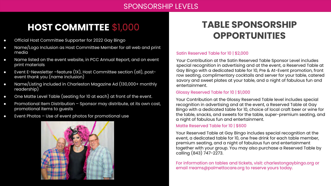### SPONSORSHIP LEVELS

## **HOST COMMITTEE** \$1,000

- Official Host Committee Supporter for 2022 Gay Bingo
- Name/Logo Inclusion as Host Committee Member for all web and print media
- Name listed on the event website, in PCC Annual Report, and on event print materials
- Event E-Newsletter –feature (1X), Host Committee section (all), postevent thank you (name inclusion)
- Name/Listing included in Charleston Magazine Ad (130,000+ monthly readership)
- One Matte Level Table (seating for 10 at each) at front of the event.
- Promotional Item Distribution Sponsor may distribute, at its own cost, promotional items to guests
- Event Photos Use of event photos for promotional use



## **TABLE SPONSORSHIP OPPORTUNITIES**

#### Satin Reserved Table for 10 | \$2,000

Your Contribution at the Satin Reserved Table Sponsor Level includes special recognition in advertising and at the event, a Reserved Table at Gay Bingo with a dedicated table for 10, Pre & At-Event promotion, front row seating, complimentary cocktails and server for your table, catered savory and sweet plates at your table, and a night of fabulous fun and entertainment.

### Glossy Reserved Table for 10 | \$1,000

Your Contribution at the Glossy Reserved Table level includes special recognition in advertising and at the event, a Reserved Table at Gay Bingo with a dedicated table for 10, choice of local craft beer or wine for the table, snacks, and sweets for the table, super-premium seating, and a night of fabulous fun and entertainment.

### Matte Reserved Table for 10 | \$600

Your Reserved Table at Gay Bingo includes special recognition at the event, a dedicated table for 10, one free drink for each table member, premium seating, and a night of fabulous fun and entertainment together with your group. You may also purchase a Reserved Table by calling (843) 747-2273.

For information on tables and tickets, visit: charlestongaybingo.org or email rreams@palmettocare.org to reserve yours today.